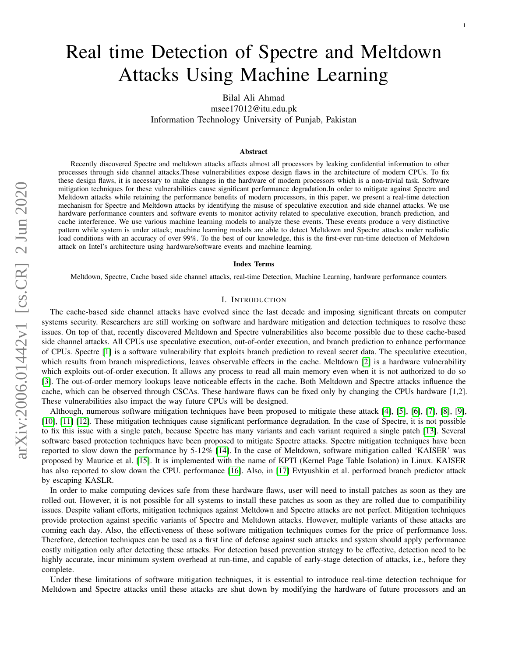# Real time Detection of Spectre and Meltdown Attacks Using Machine Learning

1

Bilal Ali Ahmad

msee17012@itu.edu.pk Information Technology University of Punjab, Pakistan

#### Abstract

Recently discovered Spectre and meltdown attacks affects almost all processors by leaking confidential information to other processes through side channel attacks.These vulnerabilities expose design flaws in the architecture of modern CPUs. To fix these design flaws, it is necessary to make changes in the hardware of modern processors which is a non-trivial task. Software mitigation techniques for these vulnerabilities cause significant performance degradation.In order to mitigate against Spectre and Meltdown attacks while retaining the performance benefits of modern processors, in this paper, we present a real-time detection mechanism for Spectre and Meltdown attacks by identifying the misuse of speculative execution and side channel attacks. We use hardware performance counters and software events to monitor activity related to speculative execution, branch prediction, and cache interference. We use various machine learning models to analyze these events. These events produce a very distinctive pattern while system is under attack; machine learning models are able to detect Meltdown and Spectre attacks under realistic load conditions with an accuracy of over 99%. To the best of our knowledge, this is the first-ever run-time detection of Meltdown attack on Intel's architecture using hardware/software events and machine learning.

#### Index Terms

Meltdown, Spectre, Cache based side channel attacks, real-time Detection, Machine Learning, hardware performance counters

# I. INTRODUCTION

The cache-based side channel attacks have evolved since the last decade and imposing significant threats on computer systems security. Researchers are still working on software and hardware mitigation and detection techniques to resolve these issues. On top of that, recently discovered Meltdown and Spectre vulnerabilities also become possible due to these cache-based side channel attacks. All CPUs use speculative execution, out-of-order execution, and branch prediction to enhance performance of CPUs. Spectre [\[1\]](#page-13-0) is a software vulnerability that exploits branch prediction to reveal secret data. The speculative execution, which results from branch mispredictions, leaves observable effects in the cache. Meltdown [\[2\]](#page-13-1) is a hardware vulnerability which exploits out-of-order execution. It allows any process to read all main memory even when it is not authorized to do so [\[3\]](#page-13-2). The out-of-order memory lookups leave noticeable effects in the cache. Both Meltdown and Spectre attacks influence the cache, which can be observed through CSCAs. These hardware flaws can be fixed only by changing the CPUs hardware [1,2]. These vulnerabilities also impact the way future CPUs will be designed.

Although, numerous software mitigation techniques have been proposed to mitigate these attack [\[4\]](#page-13-3), [\[5\]](#page-13-4), [\[6\]](#page-13-5), [\[7\]](#page-13-6), [\[8\]](#page-13-7), [\[9\]](#page-13-8), [\[10\]](#page-13-9), [\[11\]](#page-13-10) [\[12\]](#page-13-11). These mitigation techniques cause significant performance degradation. In the case of Spectre, it is not possible to fix this issue with a single patch, because Spectre has many variants and each variant required a single patch [\[13\]](#page-14-0). Several software based protection techniques have been proposed to mitigate Spectre attacks. Spectre mitigation techniques have been reported to slow down the performance by 5-12% [\[14\]](#page-14-1). In the case of Meltdown, software mitigation called 'KAISER' was proposed by Maurice et al. [\[15\]](#page-14-2). It is implemented with the name of KPTI (Kernel Page Table Isolation) in Linux. KAISER has also reported to slow down the CPU. performance [\[16\]](#page-14-3). Also, in [\[17\]](#page-14-4) Evtyushkin et al. performed branch predictor attack by escaping KASLR.

In order to make computing devices safe from these hardware flaws, user will need to install patches as soon as they are rolled out. However, it is not possible for all systems to install these patches as soon as they are rolled due to compatibility issues. Despite valiant efforts, mitigation techniques against Meltdown and Spectre attacks are not perfect. Mitigation techniques provide protection against specific variants of Spectre and Meltdown attacks. However, multiple variants of these attacks are coming each day. Also, the effectiveness of these software mitigation techniques comes for the price of performance loss. Therefore, detection techniques can be used as a first line of defense against such attacks and system should apply performance costly mitigation only after detecting these attacks. For detection based prevention strategy to be effective, detection need to be highly accurate, incur minimum system overhead at run-time, and capable of early-stage detection of attacks, i.e., before they complete.

Under these limitations of software mitigation techniques, it is essential to introduce real-time detection technique for Meltdown and Spectre attacks until these attacks are shut down by modifying the hardware of future processors and an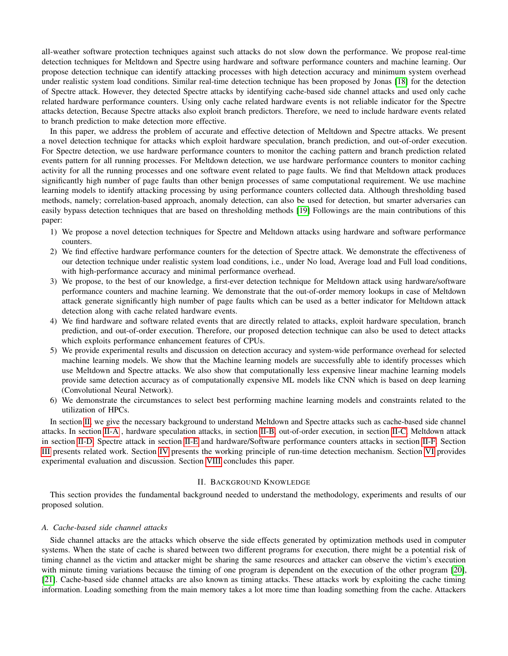all-weather software protection techniques against such attacks do not slow down the performance. We propose real-time detection techniques for Meltdown and Spectre using hardware and software performance counters and machine learning. Our propose detection technique can identify attacking processes with high detection accuracy and minimum system overhead under realistic system load conditions. Similar real-time detection technique has been proposed by Jonas [\[18\]](#page-14-5) for the detection of Spectre attack. However, they detected Spectre attacks by identifying cache-based side channel attacks and used only cache related hardware performance counters. Using only cache related hardware events is not reliable indicator for the Spectre attacks detection, Because Spectre attacks also exploit branch predictors. Therefore, we need to include hardware events related to branch prediction to make detection more effective.

In this paper, we address the problem of accurate and effective detection of Meltdown and Spectre attacks. We present a novel detection technique for attacks which exploit hardware speculation, branch prediction, and out-of-order execution. For Spectre detection, we use hardware performance counters to monitor the caching pattern and branch prediction related events pattern for all running processes. For Meltdown detection, we use hardware performance counters to monitor caching activity for all the running processes and one software event related to page faults. We find that Meltdown attack produces significantly high number of page faults than other benign processes of same computational requirement. We use machine learning models to identify attacking processing by using performance counters collected data. Although thresholding based methods, namely; correlation-based approach, anomaly detection, can also be used for detection, but smarter adversaries can easily bypass detection techniques that are based on thresholding methods [\[19\]](#page-14-6) Followings are the main contributions of this paper:

- 1) We propose a novel detection techniques for Spectre and Meltdown attacks using hardware and software performance counters.
- 2) We find effective hardware performance counters for the detection of Spectre attack. We demonstrate the effectiveness of our detection technique under realistic system load conditions, i.e., under No load, Average load and Full load conditions, with high-performance accuracy and minimal performance overhead.
- 3) We propose, to the best of our knowledge, a first-ever detection technique for Meltdown attack using hardware/software performance counters and machine learning. We demonstrate that the out-of-order memory lookups in case of Meltdown attack generate significantly high number of page faults which can be used as a better indicator for Meltdown attack detection along with cache related hardware events.
- 4) We find hardware and software related events that are directly related to attacks, exploit hardware speculation, branch prediction, and out-of-order execution. Therefore, our proposed detection technique can also be used to detect attacks which exploits performance enhancement features of CPUs.
- 5) We provide experimental results and discussion on detection accuracy and system-wide performance overhead for selected machine learning models. We show that the Machine learning models are successfully able to identify processes which use Meltdown and Spectre attacks. We also show that computationally less expensive linear machine learning models provide same detection accuracy as of computationally expensive ML models like CNN which is based on deep learning (Convolutional Neural Network).
- 6) We demonstrate the circumstances to select best performing machine learning models and constraints related to the utilization of HPCs.

In section [II,](#page-1-0) we give the necessary background to understand Meltdown and Spectre attacks such as cache-based side channel attacks. In section [II-A](#page-1-1) , hardware speculation attacks, in section [II-B,](#page-2-0) out-of-order execution, in section [II-C,](#page-2-1) Meltdown attack in section [II-D,](#page-2-2) Spectre attack in section [II-E](#page-3-0) and hardware/Software performance counters attacks in section [II-F.](#page-4-0) Section [III](#page-4-1) presents related work. Section [IV](#page-5-0) presents the working principle of run-time detection mechanism. Section [VI](#page-10-0) provides experimental evaluation and discussion. Section [VIII](#page-13-12) concludes this paper.

# II. BACKGROUND KNOWLEDGE

<span id="page-1-0"></span>This section provides the fundamental background needed to understand the methodology, experiments and results of our proposed solution.

# <span id="page-1-1"></span>*A. Cache-based side channel attacks*

Side channel attacks are the attacks which observe the side effects generated by optimization methods used in computer systems. When the state of cache is shared between two different programs for execution, there might be a potential risk of timing channel as the victim and attacker might be sharing the same resources and attacker can observe the victim's execution with minute timing variations because the timing of one program is dependent on the execution of the other program [\[20\]](#page-14-7), [\[21\]](#page-14-8). Cache-based side channel attacks are also known as timing attacks. These attacks work by exploiting the cache timing information. Loading something from the main memory takes a lot more time than loading something from the cache. Attackers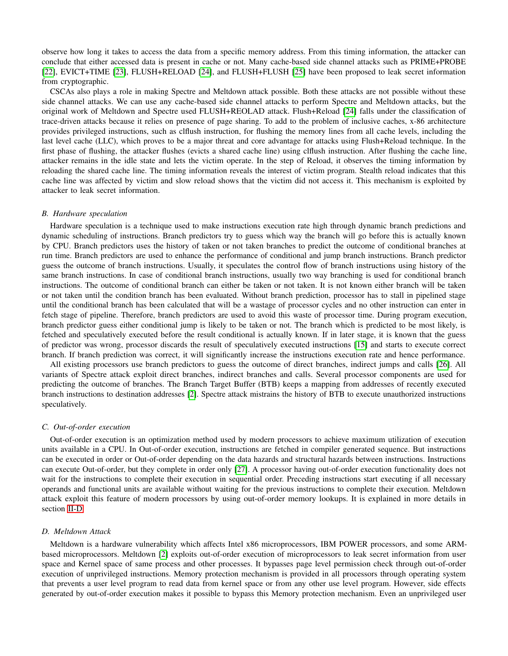observe how long it takes to access the data from a specific memory address. From this timing information, the attacker can conclude that either accessed data is present in cache or not. Many cache-based side channel attacks such as PRIME+PROBE [\[22\]](#page-14-9), EVICT+TIME [\[23\]](#page-14-10), FLUSH+RELOAD [\[24\]](#page-14-11), and FLUSH+FLUSH [\[25\]](#page-14-12) have been proposed to leak secret information from cryptographic.

CSCAs also plays a role in making Spectre and Meltdown attack possible. Both these attacks are not possible without these side channel attacks. We can use any cache-based side channel attacks to perform Spectre and Meltdown attacks, but the original work of Meltdown and Spectre used FLUSH+REOLAD attack. Flush+Reload [\[24\]](#page-14-11) falls under the classification of trace-driven attacks because it relies on presence of page sharing. To add to the problem of inclusive caches, x-86 architecture provides privileged instructions, such as clflush instruction, for flushing the memory lines from all cache levels, including the last level cache (LLC), which proves to be a major threat and core advantage for attacks using Flush+Reload technique. In the first phase of flushing, the attacker flushes (evicts a shared cache line) using clflush instruction. After flushing the cache line, attacker remains in the idle state and lets the victim operate. In the step of Reload, it observes the timing information by reloading the shared cache line. The timing information reveals the interest of victim program. Stealth reload indicates that this cache line was affected by victim and slow reload shows that the victim did not access it. This mechanism is exploited by attacker to leak secret information.

## <span id="page-2-0"></span>*B. Hardware speculation*

Hardware speculation is a technique used to make instructions execution rate high through dynamic branch predictions and dynamic scheduling of instructions. Branch predictors try to guess which way the branch will go before this is actually known by CPU. Branch predictors uses the history of taken or not taken branches to predict the outcome of conditional branches at run time. Branch predictors are used to enhance the performance of conditional and jump branch instructions. Branch predictor guess the outcome of branch instructions. Usually, it speculates the control flow of branch instructions using history of the same branch instructions. In case of conditional branch instructions, usually two way branching is used for conditional branch instructions. The outcome of conditional branch can either be taken or not taken. It is not known either branch will be taken or not taken until the condition branch has been evaluated. Without branch prediction, processor has to stall in pipelined stage until the conditional branch has been calculated that will be a wastage of processor cycles and no other instruction can enter in fetch stage of pipeline. Therefore, branch predictors are used to avoid this waste of processor time. During program execution, branch predictor guess either conditional jump is likely to be taken or not. The branch which is predicted to be most likely, is fetched and speculatively executed before the result conditional is actually known. If in later stage, it is known that the guess of predictor was wrong, processor discards the result of speculatively executed instructions [\[15\]](#page-14-2) and starts to execute correct branch. If branch prediction was correct, it will significantly increase the instructions execution rate and hence performance.

All existing processors use branch predictors to guess the outcome of direct branches, indirect jumps and calls [\[26\]](#page-14-13). All variants of Spectre attack exploit direct branches, indirect branches and calls. Several processor components are used for predicting the outcome of branches. The Branch Target Buffer (BTB) keeps a mapping from addresses of recently executed branch instructions to destination addresses [\[2\]](#page-13-1). Spectre attack mistrains the history of BTB to execute unauthorized instructions speculatively.

## <span id="page-2-1"></span>*C. Out-of-order execution*

Out-of-order execution is an optimization method used by modern processors to achieve maximum utilization of execution units available in a CPU. In Out-of-order execution, instructions are fetched in compiler generated sequence. But instructions can be executed in order or Out-of-order depending on the data hazards and structural hazards between instructions. Instructions can execute Out-of-order, but they complete in order only [\[27\]](#page-14-14). A processor having out-of-order execution functionality does not wait for the instructions to complete their execution in sequential order. Preceding instructions start executing if all necessary operands and functional units are available without waiting for the previous instructions to complete their execution. Meltdown attack exploit this feature of modern processors by using out-of-order memory lookups. It is explained in more details in section [II-D.](#page-2-2)

## <span id="page-2-2"></span>*D. Meltdown Attack*

Meltdown is a hardware vulnerability which affects Intel x86 microprocessors, IBM POWER processors, and some ARMbased microprocessors. Meltdown [\[2\]](#page-13-1) exploits out-of-order execution of microprocessors to leak secret information from user space and Kernel space of same process and other processes. It bypasses page level permission check through out-of-order execution of unprivileged instructions. Memory protection mechanism is provided in all processors through operating system that prevents a user level program to read data from kernel space or from any other use level program. However, side effects generated by out-of-order execution makes it possible to bypass this Memory protection mechanism. Even an unprivileged user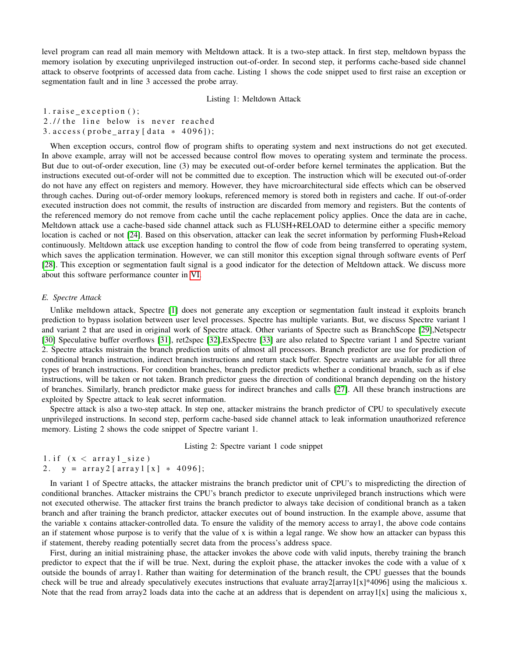level program can read all main memory with Meltdown attack. It is a two-step attack. In first step, meltdown bypass the memory isolation by executing unprivileged instruction out-of-order. In second step, it performs cache-based side channel attack to observe footprints of accessed data from cache. Listing 1 shows the code snippet used to first raise an exception or segmentation fault and in line 3 accessed the probe array.

Listing 1: Meltdown Attack

 $1. \text{raise\_ex}$ raise  $\text{exception}()$ ; 2.// the line below is never reached  $3. \arccos(s)$  (probe\_array [data  $*$  4096]);

When exception occurs, control flow of program shifts to operating system and next instructions do not get executed. In above example, array will not be accessed because control flow moves to operating system and terminate the process. But due to out-of-order execution, line (3) may be executed out-of-order before kernel terminates the application. But the instructions executed out-of-order will not be committed due to exception. The instruction which will be executed out-of-order do not have any effect on registers and memory. However, they have microarchitectural side effects which can be observed through caches. During out-of-order memory lookups, referenced memory is stored both in registers and cache. If out-of-order executed instruction does not commit, the results of instruction are discarded from memory and registers. But the contents of the referenced memory do not remove from cache until the cache replacement policy applies. Once the data are in cache, Meltdown attack use a cache-based side channel attack such as FLUSH+RELOAD to determine either a specific memory location is cached or not [\[24\]](#page-14-11). Based on this observation, attacker can leak the secret information by performing Flush+Reload continuously. Meltdown attack use exception handing to control the flow of code from being transferred to operating system, which saves the application termination. However, we can still monitor this exception signal through software events of Perf [\[28\]](#page-14-15). This exception or segmentation fault signal is a good indicator for the detection of Meltdown attack. We discuss more about this software performance counter in [VI.](#page-10-0)

# <span id="page-3-0"></span>*E. Spectre Attack*

Unlike meltdown attack, Spectre [\[1\]](#page-13-0) does not generate any exception or segmentation fault instead it exploits branch prediction to bypass isolation between user level processes. Spectre has multiple variants. But, we discuss Spectre variant 1 and variant 2 that are used in original work of Spectre attack. Other variants of Spectre such as BranchScope [\[29\]](#page-14-16),Netspectr [\[30\]](#page-14-17) Speculative buffer overflows [\[31\]](#page-14-18), ret2spec [\[32\]](#page-14-19),ExSpectre [\[33\]](#page-14-20) are also related to Spectre variant 1 and Spectre variant 2. Spectre attacks mistrain the branch prediction units of almost all processors. Branch predictor are use for prediction of conditional branch instruction, indirect branch instructions and return stack buffer. Spectre variants are available for all three types of branch instructions. For condition branches, branch predictor predicts whether a conditional branch, such as if else instructions, will be taken or not taken. Branch predictor guess the direction of conditional branch depending on the history of branches. Similarly, branch predictor make guess for indirect branches and calls [\[27\]](#page-14-14). All these branch instructions are exploited by Spectre attack to leak secret information.

Spectre attack is also a two-step attack. In step one, attacker mistrains the branch predictor of CPU to speculatively execute unprivileged instructions. In second step, perform cache-based side channel attack to leak information unauthorized reference memory. Listing 2 shows the code snippet of Spectre variant 1.

Listing 2: Spectre variant 1 code snippet

```
1. if (x < array1_size)2. y = \arctan{2} [\arctan{1} [x] + 4096];
```
In variant 1 of Spectre attacks, the attacker mistrains the branch predictor unit of CPU's to mispredicting the direction of conditional branches. Attacker mistrains the CPU's branch predictor to execute unprivileged branch instructions which were not executed otherwise. The attacker first trains the branch predictor to always take decision of conditional branch as a taken branch and after training the branch predictor, attacker executes out of bound instruction. In the example above, assume that the variable x contains attacker-controlled data. To ensure the validity of the memory access to array1, the above code contains an if statement whose purpose is to verify that the value of x is within a legal range. We show how an attacker can bypass this if statement, thereby reading potentially secret data from the process's address space.

First, during an initial mistraining phase, the attacker invokes the above code with valid inputs, thereby training the branch predictor to expect that the if will be true. Next, during the exploit phase, the attacker invokes the code with a value of x outside the bounds of array1. Rather than waiting for determination of the branch result, the CPU guesses that the bounds check will be true and already speculatively executes instructions that evaluate array2[array1[x]\*4096] using the malicious x. Note that the read from array2 loads data into the cache at an address that is dependent on array1[x] using the malicious x,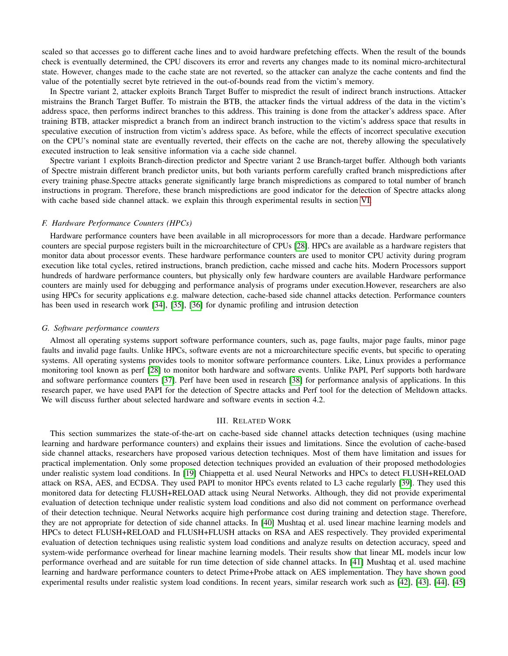scaled so that accesses go to different cache lines and to avoid hardware prefetching effects. When the result of the bounds check is eventually determined, the CPU discovers its error and reverts any changes made to its nominal micro-architectural state. However, changes made to the cache state are not reverted, so the attacker can analyze the cache contents and find the value of the potentially secret byte retrieved in the out-of-bounds read from the victim's memory.

In Spectre variant 2, attacker exploits Branch Target Buffer to mispredict the result of indirect branch instructions. Attacker mistrains the Branch Target Buffer. To mistrain the BTB, the attacker finds the virtual address of the data in the victim's address space, then performs indirect branches to this address. This training is done from the attacker's address space. After training BTB, attacker mispredict a branch from an indirect branch instruction to the victim's address space that results in speculative execution of instruction from victim's address space. As before, while the effects of incorrect speculative execution on the CPU's nominal state are eventually reverted, their effects on the cache are not, thereby allowing the speculatively executed instruction to leak sensitive information via a cache side channel.

Spectre variant 1 exploits Branch-direction predictor and Spectre variant 2 use Branch-target buffer. Although both variants of Spectre mistrain different branch predictor units, but both variants perform carefully crafted branch mispredictions after every training phase.Spectre attacks generate significantly large branch mispredictions as compared to total number of branch instructions in program. Therefore, these branch mispredictions are good indicator for the detection of Spectre attacks along with cache based side channel attack. we explain this through experimental results in section [VI.](#page-10-0)

# <span id="page-4-0"></span>*F. Hardware Performance Counters (HPCs)*

Hardware performance counters have been available in all microprocessors for more than a decade. Hardware performance counters are special purpose registers built in the microarchitecture of CPUs [\[28\]](#page-14-15). HPCs are available as a hardware registers that monitor data about processor events. These hardware performance counters are used to monitor CPU activity during program execution like total cycles, retired instructions, branch prediction, cache missed and cache hits. Modern Processors support hundreds of hardware performance counters, but physically only few hardware counters are available Hardware performance counters are mainly used for debugging and performance analysis of programs under execution.However, researchers are also using HPCs for security applications e.g. malware detection, cache-based side channel attacks detection. Performance counters has been used in research work [\[34\]](#page-14-21), [\[35\]](#page-14-22), [\[36\]](#page-14-23) for dynamic profiling and intrusion detection

# *G. Software performance counters*

Almost all operating systems support software performance counters, such as, page faults, major page faults, minor page faults and invalid page faults. Unlike HPCs, software events are not a microarchitecture specific events, but specific to operating systems. All operating systems provides tools to monitor software performance counters. Like, Linux provides a performance monitoring tool known as perf [\[28\]](#page-14-15) to monitor both hardware and software events. Unlike PAPI, Perf supports both hardware and software performance counters [\[37\]](#page-14-24). Perf have been used in research [\[38\]](#page-14-25) for performance analysis of applications. In this research paper, we have used PAPI for the detection of Spectre attacks and Perf tool for the detection of Meltdown attacks. We will discuss further about selected hardware and software events in section 4.2.

# III. RELATED WORK

<span id="page-4-1"></span>This section summarizes the state-of-the-art on cache-based side channel attacks detection techniques (using machine learning and hardware performance counters) and explains their issues and limitations. Since the evolution of cache-based side channel attacks, researchers have proposed various detection techniques. Most of them have limitation and issues for practical implementation. Only some proposed detection techniques provided an evaluation of their proposed methodologies under realistic system load conditions. In [\[19\]](#page-14-6) Chiappetta et al. used Neural Networks and HPCs to detect FLUSH+RELOAD attack on RSA, AES, and ECDSA. They used PAPI to monitor HPCs events related to L3 cache regularly [\[39\]](#page-14-26). They used this monitored data for detecting FLUSH+RELOAD attack using Neural Networks. Although, they did not provide experimental evaluation of detection technique under realistic system load conditions and also did not comment on performance overhead of their detection technique. Neural Networks acquire high performance cost during training and detection stage. Therefore, they are not appropriate for detection of side channel attacks. In [\[40\]](#page-14-27) Mushtaq et al. used linear machine learning models and HPCs to detect FLUSH+RELOAD and FLUSH+FLUSH attacks on RSA and AES respectively. They provided experimental evaluation of detection techniques using realistic system load conditions and analyze results on detection accuracy, speed and system-wide performance overhead for linear machine learning models. Their results show that linear ML models incur low performance overhead and are suitable for run time detection of side channel attacks. In [\[41\]](#page-14-28) Mushtaq et al. used machine learning and hardware performance counters to detect Prime+Probe attack on AES implementation. They have shown good experimental results under realistic system load conditions. In recent years, similar research work such as [\[42\]](#page-14-29), [\[43\]](#page-14-30), [\[44\]](#page-14-31), [\[45\]](#page-14-32)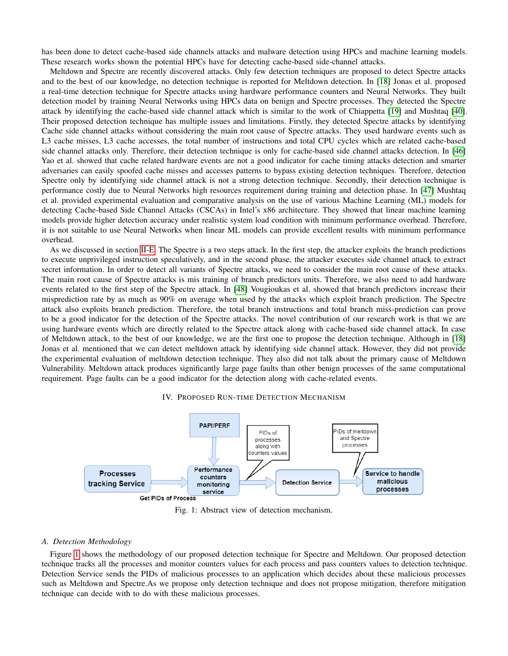has been done to detect cache-based side channels attacks and malware detection using HPCs and machine learning models. These research works shown the potential HPCs have for detecting cache-based side-channel attacks.

Meltdown and Spectre are recently discovered attacks. Only few detection techniques are proposed to detect Spectre attacks and to the best of our knowledge, no detection technique is reported for Meltdown detection. In [\[18\]](#page-14-5) Jonas et al. proposed a real-time detection technique for Spectre attacks using hardware performance counters and Neural Networks. They built detection model by training Neural Networks using HPCs data on benign and Spectre processes. They detected the Spectre attack by identifying the cache-based side channel attack which is similar to the work of Chiappetta [\[19\]](#page-14-6) and Mushtaq [\[40\]](#page-14-27). Their proposed detection technique has multiple issues and limitations. Firstly, they detected Spectre attacks by identifying Cache side channel attacks without considering the main root cause of Spectre attacks. They used hardware events such as L3 cache misses, L3 cache accesses, the total number of instructions and total CPU cycles which are related cache-based side channel attacks only. Therefore, their detection technique is only for cache-based side channel attacks detection. In [\[46\]](#page-14-33) Yao et al. showed that cache related hardware events are not a good indicator for cache timing attacks detection and smarter adversaries can easily spoofed cache misses and accesses patterns to bypass existing detection techniques. Therefore, detection Spectre only by identifying side channel attack is not a strong detection technique. Secondly, their detection technique is performance costly due to Neural Networks high resources requirement during training and detection phase. In [\[47\]](#page-14-34) Mushtaq et al. provided experimental evaluation and comparative analysis on the use of various Machine Learning (ML) models for detecting Cache-based Side Channel Attacks (CSCAs) in Intel's x86 architecture. They showed that linear machine learning models provide higher detection accuracy under realistic system load condition with minimum performance overhead. Therefore, it is not suitable to use Neural Networks when linear ML models can provide excellent results with minimum performance overhead.

As we discussed in section [II-E.](#page-3-0) The Spectre is a two steps attack. In the first step, the attacker exploits the branch predictions to execute unprivileged instruction speculatively, and in the second phase, the attacker executes side channel attack to extract secret information. In order to detect all variants of Spectre attacks, we need to consider the main root cause of these attacks. The main root cause of Spectre attacks is mis training of branch predictors units. Therefore, we also need to add hardware events related to the first step of the Spectre attack. In [\[48\]](#page-14-35) Vougioukas et al. showed that branch predictors increase their misprediction rate by as much as 90% on average when used by the attacks which exploit branch prediction. The Spectre attack also exploits branch prediction. Therefore, the total branch instructions and total branch miss-prediction can prove to be a good indicator for the detection of the Spectre attacks. The novel contribution of our research work is that we are using hardware events which are directly related to the Spectre attack along with cache-based side channel attack. In case of Meltdown attack, to the best of our knowledge, we are the first one to propose the detection technique. Although in [\[18\]](#page-14-5) Jonas et al. mentioned that we can detect meltdown attack by identifying side channel attack. However, they did not provide the experimental evaluation of meltdown detection technique. They also did not talk about the primary cause of Meltdown Vulnerability. Meltdown attack produces significantly large page faults than other benign processes of the same computational requirement. Page faults can be a good indicator for the detection along with cache-related events.

<span id="page-5-1"></span><span id="page-5-0"></span>

# IV. PROPOSED RUN-TIME DETECTION MECHANISM

Fig. 1: Abstract view of detection mechanism.

#### *A. Detection Methodology*

Figure [1](#page-5-1) shows the methodology of our proposed detection technique for Spectre and Meltdown. Our proposed detection technique tracks all the processes and monitor counters values for each process and pass counters values to detection technique. Detection Service sends the PIDs of malicious processes to an application which decides about these malicious processes such as Meltdown and Spectre.As we propose only detection technique and does not propose mitigation, therefore mitigation technique can decide with to do with these malicious processes.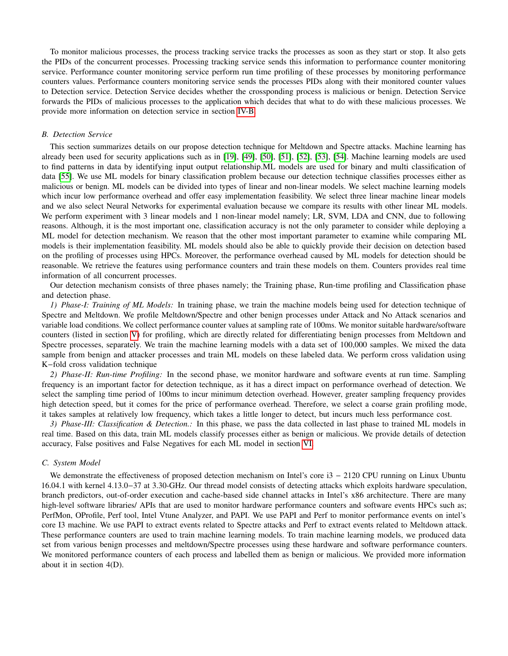To monitor malicious processes, the process tracking service tracks the processes as soon as they start or stop. It also gets the PIDs of the concurrent processes. Processing tracking service sends this information to performance counter monitoring service. Performance counter monitoring service perform run time profiling of these processes by monitoring performance counters values. Performance counters monitoring service sends the processes PIDs along with their monitored counter values to Detection service. Detection Service decides whether the crossponding process is malicious or benign. Detection Service forwards the PIDs of malicious processes to the application which decides that what to do with these malicious processes. We provide more information on detection service in section [IV-B.](#page-6-0)

# <span id="page-6-0"></span>*B. Detection Service*

This section summarizes details on our propose detection technique for Meltdown and Spectre attacks. Machine learning has already been used for security applications such as in [\[19\]](#page-14-6), [\[49\]](#page-14-36), [\[50\]](#page-14-37), [\[51\]](#page-15-0), [\[52\]](#page-15-1), [\[53\]](#page-15-2), [\[54\]](#page-15-3). Machine learning models are used to find patterns in data by identifying input output relationship.ML models are used for binary and multi classification of data [\[55\]](#page-15-4). We use ML models for binary classification problem because our detection technique classifies processes either as malicious or benign. ML models can be divided into types of linear and non-linear models. We select machine learning models which incur low performance overhead and offer easy implementation feasibility. We select three linear machine linear models and we also select Neural Networks for experimental evaluation because we compare its results with other linear ML models. We perform experiment with 3 linear models and 1 non-linear model namely; LR, SVM, LDA and CNN, due to following reasons. Although, it is the most important one, classification accuracy is not the only parameter to consider while deploying a ML model for detection mechanism. We reason that the other most important parameter to examine while comparing ML models is their implementation feasibility. ML models should also be able to quickly provide their decision on detection based on the profiling of processes using HPCs. Moreover, the performance overhead caused by ML models for detection should be reasonable. We retrieve the features using performance counters and train these models on them. Counters provides real time information of all concurrent processes.

Our detection mechanism consists of three phases namely; the Training phase, Run-time profiling and Classification phase and detection phase.

*1) Phase-I: Training of ML Models:* In training phase, we train the machine models being used for detection technique of Spectre and Meltdown. We profile Meltdown/Spectre and other benign processes under Attack and No Attack scenarios and variable load conditions. We collect performance counter values at sampling rate of 100ms. We monitor suitable hardware/software counters (listed in section [V\)](#page-7-0) for profiling, which are directly related for differentiating benign processes from Meltdown and Spectre processes, separately. We train the machine learning models with a data set of 100,000 samples. We mixed the data sample from benign and attacker processes and train ML models on these labeled data. We perform cross validation using K−fold cross validation technique

*2) Phase-II: Run-time Profiling:* In the second phase, we monitor hardware and software events at run time. Sampling frequency is an important factor for detection technique, as it has a direct impact on performance overhead of detection. We select the sampling time period of 100ms to incur minimum detection overhead. However, greater sampling frequency provides high detection speed, but it comes for the price of performance overhead. Therefore, we select a coarse grain profiling mode, it takes samples at relatively low frequency, which takes a little longer to detect, but incurs much less performance cost.

*3) Phase-III: Classification & Detection.:* In this phase, we pass the data collected in last phase to trained ML models in real time. Based on this data, train ML models classify processes either as benign or malicious. We provide details of detection accuracy, False positives and False Negatives for each ML model in section [VI.](#page-10-0)

# *C. System Model*

We demonstrate the effectiveness of proposed detection mechanism on Intel's core i3 − 2120 CPU running on Linux Ubuntu 16.04.1 with kernel 4.13.0−37 at 3.30-GHz. Our thread model consists of detecting attacks which exploits hardware speculation, branch predictors, out-of-order execution and cache-based side channel attacks in Intel's x86 architecture. There are many high-level software libraries/ APIs that are used to monitor hardware performance counters and software events HPCs such as; PerfMon, OProfile, Perf tool, Intel Vtune Analyzer, and PAPI. We use PAPI and Perf to monitor performance events on intel's core I3 machine. We use PAPI to extract events related to Spectre attacks and Perf to extract events related to Meltdown attack. These performance counters are used to train machine learning models. To train machine learning models, we produced data set from various benign processes and meltdown/Spectre processes using these hardware and software performance counters. We monitored performance counters of each process and labelled them as benign or malicious. We provided more information about it in section 4(D).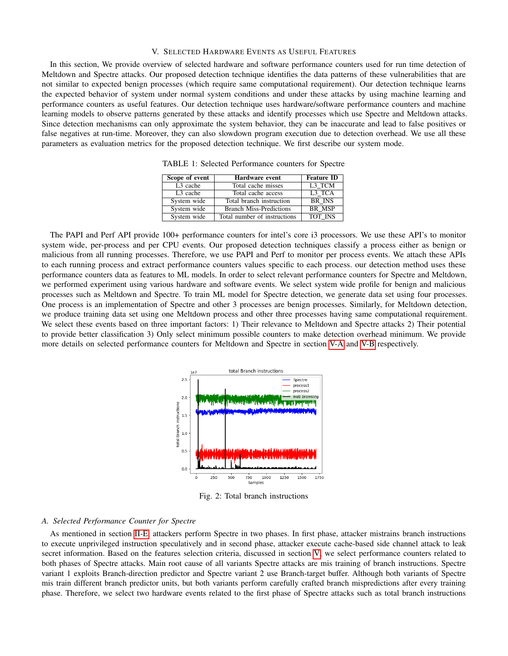#### V. SELECTED HARDWARE EVENTS AS USEFUL FEATURES

<span id="page-7-0"></span>In this section, We provide overview of selected hardware and software performance counters used for run time detection of Meltdown and Spectre attacks. Our proposed detection technique identifies the data patterns of these vulnerabilities that are not similar to expected benign processes (which require same computational requirement). Our detection technique learns the expected behavior of system under normal system conditions and under these attacks by using machine learning and performance counters as useful features. Our detection technique uses hardware/software performance counters and machine learning models to observe patterns generated by these attacks and identify processes which use Spectre and Meltdown attacks. Since detection mechanisms can only approximate the system behavior, they can be inaccurate and lead to false positives or false negatives at run-time. Moreover, they can also slowdown program execution due to detection overhead. We use all these parameters as evaluation metrics for the proposed detection technique. We first describe our system mode.

| Scope of event       | Hardware event                 | <b>Feature ID</b> |  |
|----------------------|--------------------------------|-------------------|--|
| L <sub>3</sub> cache | Total cache misses             | L3 TCM            |  |
| L <sub>3</sub> cache | Total cache access             | L3 TCA            |  |
| System wide          | Total branch instruction       | <b>BR INS</b>     |  |
| System wide          | <b>Branch Miss-Predictions</b> | <b>BR MSP</b>     |  |
| System wide          | Total number of instructions   | <b>TOT INS</b>    |  |

TABLE 1: Selected Performance counters for Spectre

<span id="page-7-2"></span>The PAPI and Perf API provide 100+ performance counters for intel's core i3 processors. We use these API's to monitor system wide, per-process and per CPU events. Our proposed detection techniques classify a process either as benign or malicious from all running processes. Therefore, we use PAPI and Perf to monitor per process events. We attach these APIs to each running process and extract performance counters values specific to each process. our detection method uses these performance counters data as features to ML models. In order to select relevant performance counters for Spectre and Meltdown, we performed experiment using various hardware and software events. We select system wide profile for benign and malicious processes such as Meltdown and Spectre. To train ML model for Spectre detection, we generate data set using four processes. One process is an implementation of Spectre and other 3 processes are benign processes. Similarly, for Meltdown detection, we produce training data set using one Meltdown process and other three processes having same computational requirement. We select these events based on three important factors: 1) Their relevance to Meltdown and Spectre attacks 2) Their potential to provide better classification 3) Only select minimum possible counters to make detection overhead minimum. We provide more details on selected performance counters for Meltdown and Spectre in section [V-A](#page-7-1) and [V-B](#page-9-0) respectively.



Fig. 2: Total branch instructions

#### <span id="page-7-1"></span>*A. Selected Performance Counter for Spectre*

As mentioned in section [II-E,](#page-3-0) attackers perform Spectre in two phases. In first phase, attacker mistrains branch instructions to execute unprivileged instruction speculatively and in second phase, attacker execute cache-based side channel attack to leak secret information. Based on the features selection criteria, discussed in section [V,](#page-7-0) we select performance counters related to both phases of Spectre attacks. Main root cause of all variants Spectre attacks are mis training of branch instructions. Spectre variant 1 exploits Branch-direction predictor and Spectre variant 2 use Branch-target buffer. Although both variants of Spectre mis train different branch predictor units, but both variants perform carefully crafted branch mispredictions after every training phase. Therefore, we select two hardware events related to the first phase of Spectre attacks such as total branch instructions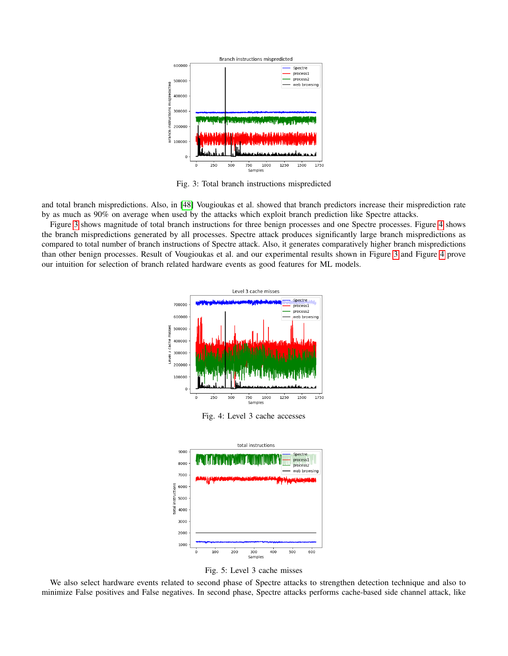<span id="page-8-0"></span>

Fig. 3: Total branch instructions mispredicted

and total branch mispredictions. Also, in [\[48\]](#page-14-35) Vougioukas et al. showed that branch predictors increase their misprediction rate by as much as 90% on average when used by the attacks which exploit branch prediction like Spectre attacks.

<span id="page-8-1"></span>Figure [3](#page-8-0) shows magnitude of total branch instructions for three benign processes and one Spectre processes. Figure [4](#page-8-1) shows the branch mispredictions generated by all processes. Spectre attack produces significantly large branch mispredictions as compared to total number of branch instructions of Spectre attack. Also, it generates comparatively higher branch mispredictions than other benign processes. Result of Vougioukas et al. and our experimental results shown in Figure [3](#page-8-0) and Figure [4](#page-8-1) prove our intuition for selection of branch related hardware events as good features for ML models.



Fig. 4: Level 3 cache accesses

<span id="page-8-2"></span>

Fig. 5: Level 3 cache misses

We also select hardware events related to second phase of Spectre attacks to strengthen detection technique and also to minimize False positives and False negatives. In second phase, Spectre attacks performs cache-based side channel attack, like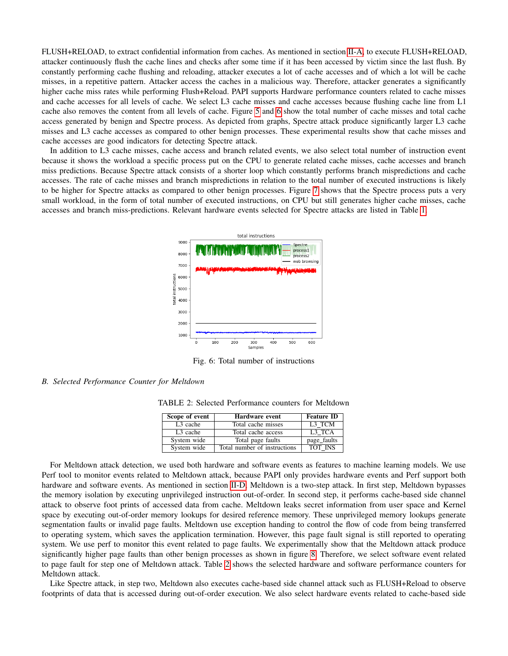FLUSH+RELOAD, to extract confidential information from caches. As mentioned in section [II-A,](#page-1-1) to execute FLUSH+RELOAD, attacker continuously flush the cache lines and checks after some time if it has been accessed by victim since the last flush. By constantly performing cache flushing and reloading, attacker executes a lot of cache accesses and of which a lot will be cache misses, in a repetitive pattern. Attacker access the caches in a malicious way. Therefore, attacker generates a significantly higher cache miss rates while performing Flush+Reload. PAPI supports Hardware performance counters related to cache misses and cache accesses for all levels of cache. We select L3 cache misses and cache accesses because flushing cache line from L1 cache also removes the content from all levels of cache. Figure [5](#page-8-2) and [6](#page-9-1) show the total number of cache misses and total cache access generated by benign and Spectre process. As depicted from graphs, Spectre attack produce significantly larger L3 cache misses and L3 cache accesses as compared to other benign processes. These experimental results show that cache misses and cache accesses are good indicators for detecting Spectre attack.

<span id="page-9-1"></span>In addition to L3 cache misses, cache access and branch related events, we also select total number of instruction event because it shows the workload a specific process put on the CPU to generate related cache misses, cache accesses and branch miss predictions. Because Spectre attack consists of a shorter loop which constantly performs branch mispredictions and cache accesses. The rate of cache misses and branch mispredictions in relation to the total number of executed instructions is likely to be higher for Spectre attacks as compared to other benign processes. Figure [7](#page-10-1) shows that the Spectre process puts a very small workload, in the form of total number of executed instructions, on CPU but still generates higher cache misses, cache accesses and branch miss-predictions. Relevant hardware events selected for Spectre attacks are listed in Table [1.](#page-7-2)



Fig. 6: Total number of instructions

# <span id="page-9-2"></span><span id="page-9-0"></span>*B. Selected Performance Counter for Meltdown*

TABLE 2: Selected Performance counters for Meltdown

| Scope of event       | <b>Hardware event</b>        | <b>Feature ID</b> |
|----------------------|------------------------------|-------------------|
| L <sub>3</sub> cache | Total cache misses           | L3 TCM            |
| L <sub>3</sub> cache | Total cache access           | L3 TCA            |
| System wide          | Total page faults            | page_faults       |
| System wide          | Total number of instructions | <b>TOT INS</b>    |

For Meltdown attack detection, we used both hardware and software events as features to machine learning models. We use Perf tool to monitor events related to Meltdown attack, because PAPI only provides hardware events and Perf support both hardware and software events. As mentioned in section [II-D,](#page-2-2) Meltdown is a two-step attack. In first step, Meltdown bypasses the memory isolation by executing unprivileged instruction out-of-order. In second step, it performs cache-based side channel attack to observe foot prints of accessed data from cache. Meltdown leaks secret information from user space and Kernel space by executing out-of-order memory lookups for desired reference memory. These unprivileged memory lookups generate segmentation faults or invalid page faults. Meltdown use exception handing to control the flow of code from being transferred to operating system, which saves the application termination. However, this page fault signal is still reported to operating system. We use perf to monitor this event related to page faults. We experimentally show that the Meltdown attack produce significantly higher page faults than other benign processes as shown in figure [8.](#page-10-2) Therefore, we select software event related to page fault for step one of Meltdown attack. Table [2](#page-9-2) shows the selected hardware and software performance counters for Meltdown attack.

Like Spectre attack, in step two, Meltdown also executes cache-based side channel attack such as FLUSH+Reload to observe footprints of data that is accessed during out-of-order execution. We also select hardware events related to cache-based side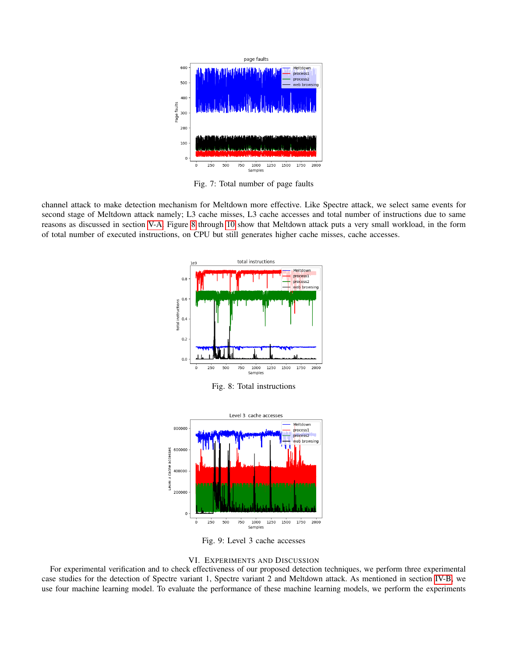<span id="page-10-1"></span>

Fig. 7: Total number of page faults

<span id="page-10-2"></span>channel attack to make detection mechanism for Meltdown more effective. Like Spectre attack, we select same events for second stage of Meltdown attack namely; L3 cache misses, L3 cache accesses and total number of instructions due to same reasons as discussed in section [V-A.](#page-7-1) Figure [8](#page-10-2) through [10](#page-11-0) show that Meltdown attack puts a very small workload, in the form of total number of executed instructions, on CPU but still generates higher cache misses, cache accesses.



Fig. 8: Total instructions



Fig. 9: Level 3 cache accesses



<span id="page-10-0"></span>For experimental verification and to check effectiveness of our proposed detection techniques, we perform three experimental case studies for the detection of Spectre variant 1, Spectre variant 2 and Meltdown attack. As mentioned in section [IV-B,](#page-6-0) we use four machine learning model. To evaluate the performance of these machine learning models, we perform the experiments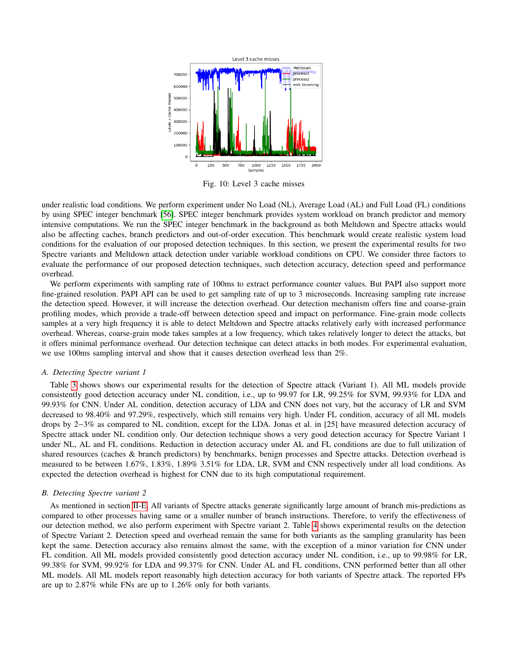<span id="page-11-0"></span>

Fig. 10: Level 3 cache misses

under realistic load conditions. We perform experiment under No Load (NL), Average Load (AL) and Full Load (FL) conditions by using SPEC integer benchmark [\[56\]](#page-15-5). SPEC integer benchmark provides system workload on branch predictor and memory intensive computations. We run the SPEC integer benchmark in the background as both Meltdown and Spectre attacks would also be affecting caches, branch predictors and out-of-order execution. This benchmark would create realistic system load conditions for the evaluation of our proposed detection techniques. In this section, we present the experimental results for two Spectre variants and Meltdown attack detection under variable workload conditions on CPU. We consider three factors to evaluate the performance of our proposed detection techniques, such detection accuracy, detection speed and performance overhead.

We perform experiments with sampling rate of 100ms to extract performance counter values. But PAPI also support more fine-grained resolution. PAPI API can be used to get sampling rate of up to 3 microseconds. Increasing sampling rate increase the detection speed. However, it will increase the detection overhead. Our detection mechanism offers fine and coarse-grain profiling modes, which provide a trade-off between detection speed and impact on performance. Fine-grain mode collects samples at a very high frequency it is able to detect Meltdown and Spectre attacks relatively early with increased performance overhead. Whereas, coarse-grain mode takes samples at a low frequency, which takes relatively longer to detect the attacks, but it offers minimal performance overhead. Our detection technique can detect attacks in both modes. For experimental evaluation, we use 100ms sampling interval and show that it causes detection overhead less than 2%.

#### *A. Detecting Spectre variant 1*

Table [3](#page-12-0) shows shows our experimental results for the detection of Spectre attack (Variant 1). All ML models provide consistently good detection accuracy under NL condition, i.e., up to 99.97 for LR, 99.25% for SVM, 99.93% for LDA and 99.93% for CNN. Under AL condition, detection accuracy of LDA and CNN does not vary, but the accuracy of LR and SVM decreased to 98.40% and 97.29%, respectively, which still remains very high. Under FL condition, accuracy of all ML models drops by 2−3% as compared to NL condition, except for the LDA. Jonas et al. in [25] have measured detection accuracy of Spectre attack under NL condition only. Our detection technique shows a very good detection accuracy for Spectre Variant 1 under NL, AL and FL conditions. Reduction in detection accuracy under AL and FL conditions are due to full utilization of shared resources (caches & branch predictors) by benchmarks, benign processes and Spectre attacks. Detection overhead is measured to be between 1.67%, 1.83%, 1.89% 3.51% for LDA, LR, SVM and CNN respectively under all load conditions. As expected the detection overhead is highest for CNN due to its high computational requirement.

#### *B. Detecting Spectre variant 2*

As mentioned in section [II-E,](#page-3-0) All variants of Spectre attacks generate significantly large amount of branch mis-predictions as compared to other processes having same or a smaller number of branch instructions. Therefore, to verify the effectiveness of our detection method, we also perform experiment with Spectre variant 2. Table [4](#page-12-1) shows experimental results on the detection of Spectre Variant 2. Detection speed and overhead remain the same for both variants as the sampling granularity has been kept the same. Detection accuracy also remains almost the same, with the exception of a minor variation for CNN under FL condition. All ML models provided consistently good detection accuracy under NL condition, i.e., up to 99.98% for LR, 99.38% for SVM, 99.92% for LDA and 99.37% for CNN. Under AL and FL conditions, CNN performed better than all other ML models. All ML models report reasonably high detection accuracy for both variants of Spectre attack. The reported FPs are up to 2.87% while FNs are up to 1.26% only for both variants.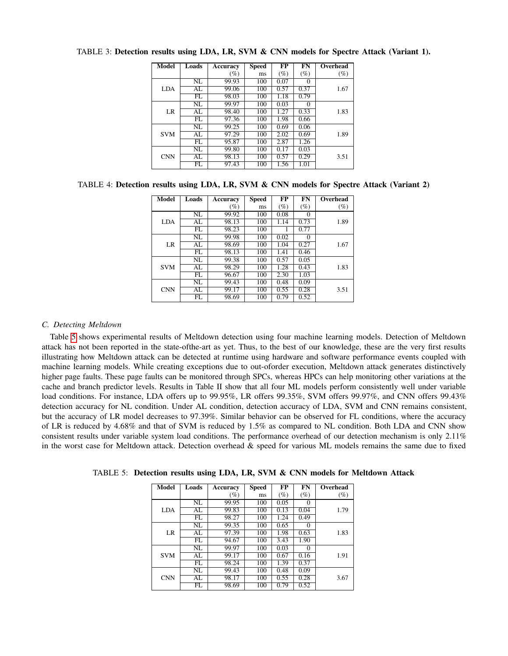| Model      | Loads                  | Accuracy | <b>Speed</b> | FP     | FN       | <b>Overhead</b> |
|------------|------------------------|----------|--------------|--------|----------|-----------------|
|            |                        | $(\%)$   | ms           | $(\%)$ | $(\%)$   | (%)             |
|            | $\overline{\text{NL}}$ | 99.93    | 100          | 0.07   | $\Omega$ |                 |
| LDA        | AL                     | 99.06    | 100          | 0.57   | 0.37     | 1.67            |
|            | FL                     | 98.03    | 100          | 1.18   | 0.79     |                 |
|            | NL                     | 99.97    | 100          | 0.03   | $\Omega$ |                 |
| LR         | AL                     | 98.40    | 100          | 1.27   | 0.33     | 1.83            |
|            | FL.                    | 97.36    | 100          | 1.98   | 0.66     |                 |
|            | NL                     | 99.25    | 100          | 0.69   | 0.06     |                 |
| <b>SVM</b> | AL                     | 97.29    | 100          | 2.02   | 0.69     | 1.89            |
|            | FL                     | 95.87    | 100          | 2.87   | 1.26     |                 |
|            | NL                     | 99.80    | 100          | 0.17   | 0.03     |                 |
| <b>CNN</b> | AL                     | 98.13    | 100          | 0.57   | 0.29     | 3.51            |
|            | FL.                    | 97.43    | 100          | 1.56   | 1.01     |                 |

<span id="page-12-0"></span>TABLE 3: Detection results using LDA, LR, SVM & CNN models for Spectre Attack (Variant 1).

# <span id="page-12-1"></span>TABLE 4: Detection results using LDA, LR, SVM & CNN models for Spectre Attack (Variant 2)

| <b>Model</b> | Loads | Accuracy | Speed | $\overline{\bf FP}$ | FN       | Overhead |
|--------------|-------|----------|-------|---------------------|----------|----------|
|              |       | (%)      | ms    | $(\%)$              | $(\%)$   | $(\%)$   |
|              | NL    | 99.92    | 100   | 0.08                | 0        |          |
| LDA          | AL    | 98.13    | 100   | 1.14                | 0.73     | 1.89     |
|              | FL    | 98.23    | 100   |                     | 0.77     |          |
|              | NL    | 99.98    | 100   | 0.02                | $\Omega$ |          |
| LR           | AL    | 98.69    | 100   | 1.04                | 0.27     | 1.67     |
|              | FL.   | 98.13    | 100   | 1.41                | 0.46     |          |
|              | NL    | 99.38    | 100   | 0.57                | 0.05     |          |
| <b>SVM</b>   | AI.   | 98.29    | 100   | 1.28                | 0.43     | 1.83     |
|              | FL    | 96.67    | 100   | 2.30                | 1.03     |          |
| <b>CNN</b>   | NL    | 99.43    | 100   | 0.48                | 0.09     |          |
|              | AL.   | 99.17    | 100   | 0.55                | 0.28     | 3.51     |
|              | FL    | 98.69    | 100   | 0.79                | 0.52     |          |

# *C. Detecting Meltdown*

Table [5](#page-12-2) shows experimental results of Meltdown detection using four machine learning models. Detection of Meltdown attack has not been reported in the state-ofthe-art as yet. Thus, to the best of our knowledge, these are the very first results illustrating how Meltdown attack can be detected at runtime using hardware and software performance events coupled with machine learning models. While creating exceptions due to out-oforder execution, Meltdown attack generates distinctively higher page faults. These page faults can be monitored through SPCs, whereas HPCs can help monitoring other variations at the cache and branch predictor levels. Results in Table II show that all four ML models perform consistently well under variable load conditions. For instance, LDA offers up to 99.95%, LR offers 99.35%, SVM offers 99.97%, and CNN offers 99.43% detection accuracy for NL condition. Under AL condition, detection accuracy of LDA, SVM and CNN remains consistent, but the accuracy of LR model decreases to 97.39%. Similar behavior can be observed for FL conditions, where the accuracy of LR is reduced by 4.68% and that of SVM is reduced by 1.5% as compared to NL condition. Both LDA and CNN show consistent results under variable system load conditions. The performance overhead of our detection mechanism is only 2.11% in the worst case for Meltdown attack. Detection overhead  $\&$  speed for various ML models remains the same due to fixed

| Model      | Loads | Accuracy | Speed | $\overline{\bf FP}$ | FN       | Overhead |
|------------|-------|----------|-------|---------------------|----------|----------|
|            |       | $(\%)$   | ms    | $(\%)$              | $(\%)$   | (%)      |
|            | NL    | 99.95    | 100   | 0.05                | 0        |          |
| <b>LDA</b> | AL    | 99.83    | 100   | 0.13                | 0.04     | 1.79     |
|            | FL    | 98.27    | 100   | 1.24                | 0.49     |          |
|            | NL    | 99.35    | 100   | 0.65                | $\Omega$ |          |
| LR         | AL    | 97.39    | 100   | 1.98                | 0.63     | 1.83     |
|            | FL    | 94.67    | 100   | 3.43                | 1.90     |          |
|            | NL    | 99.97    | 100   | 0.03                | $\Omega$ |          |
| <b>SVM</b> | AL    | 99.17    | 100   | 0.67                | 0.16     | 1.91     |
|            | FL    | 98.24    | 100   | 1.39                | 0.37     |          |
| <b>CNN</b> | NL    | 99.43    | 100   | 0.48                | 0.09     |          |
|            | AL    | 98.17    | 100   | 0.55                | 0.28     | 3.67     |
|            | FL    | 98.69    | 100   | 0.79                | 0.52     |          |

<span id="page-12-2"></span>TABLE 5: Detection results using LDA, LR, SVM & CNN models for Meltdown Attack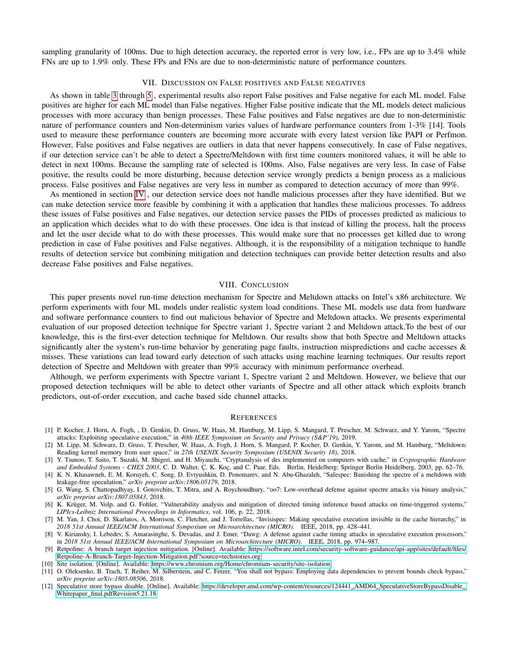sampling granularity of 100ms. Due to high detection accuracy, the reported error is very low, i.e., FPs are up to 3.4% while FNs are up to 1.9% only. These FPs and FNs are due to non-deterministic nature of performance counters.

# VII. DISCUSSION ON FALSE POSITIVES AND FALSE NEGATIVES

As shown in table [3](#page-12-0) through [5](#page-12-2) , experimental results also report False positives and False negative for each ML model. False positives are higher for each ML model than False negatives. Higher False positive indicate that the ML models detect malicious processes with more accuracy than benign processes. These False positives and False negatives are due to non-deterministic nature of performance counters and Non-determinism varies values of hardware performance counters from 1-3% [14]. Tools used to measure these performance counters are becoming more accurate with every latest version like PAPI or Perfmon. However, False positives and False negatives are outliers in data that never happens consecutively. In case of False negatives, if our detection service can't be able to detect a Spectre/Meltdown with first time counters monitored values, it will be able to detect in next 100ms. Because the sampling rate of selected is 100ms. Also, False negatives are very less. In case of False positive, the results could be more disturbing, because detection service wrongly predicts a benign process as a malicious process. False positives and False negatives are very less in number as compared to detection accuracy of more than 99%.

As mentioned in section [IV](#page-5-0) , our detection service does not handle malicious processes after they have identified. But we can make detection service more feasible by combining it with a application that handles these malicious processes. To address these issues of False positives and False negatives, our detection service passes the PIDs of processes predicted as malicious to an application which decides what to do with these processes. One idea is that instead of killing the process, halt the process and let the user decide what to do with these processes. This would make sure that no processes get killed due to wrong prediction in case of False positives and False negatives. Although, it is the responsibility of a mitigation technique to handle results of detection service but combining mitigation and detection techniques can provide better detection results and also decrease False positives and False negatives.

## VIII. CONCLUSION

<span id="page-13-12"></span>This paper presents novel run-time detection mechanism for Spectre and Meltdown attacks on Intel's x86 architecture. We perform experiments with four ML models under realistic system load conditions. These ML models use data from hardware and software performance counters to find out malicious behavior of Spectre and Meltdown attacks. We presents experimental evaluation of our proposed detection technique for Spectre variant 1, Spectre variant 2 and Meltdown attack.To the best of our knowledge, this is the first-ever detection technique for Meltdown. Our results show that both Spectre and Meltdown attacks significantly alter the system's run-time behavior by generating page faults, instruction mispredictions and cache accesses & misses. These variations can lead toward early detection of such attacks using machine learning techniques. Our results report detection of Spectre and Meltdown with greater than 99% accuracy with minimum performance overhead.

Although, we perform experiments with Spectre variant 1, Spectre variant 2 and Meltdown. However, we believe that our proposed detection techniques will be able to detect other variants of Spectre and all other attack which exploits branch predictors, out-of-order execution, and cache based side channel attacks.

#### **REFERENCES**

- <span id="page-13-0"></span>[1] P. Kocher, J. Horn, A. Fogh, , D. Genkin, D. Gruss, W. Haas, M. Hamburg, M. Lipp, S. Mangard, T. Prescher, M. Schwarz, and Y. Yarom, "Spectre attacks: Exploiting speculative execution," in *40th IEEE Symposium on Security and Privacy (S&P'19)*, 2019.
- <span id="page-13-1"></span>[2] M. Lipp, M. Schwarz, D. Gruss, T. Prescher, W. Haas, A. Fogh, J. Horn, S. Mangard, P. Kocher, D. Genkin, Y. Yarom, and M. Hamburg, "Meltdown: Reading kernel memory from user space," in *27th USENIX Security Symposium (USENIX Security 18)*, 2018.
- <span id="page-13-2"></span>[3] Y. Tsunoo, T. Saito, T. Suzaki, M. Shigeri, and H. Miyauchi, "Cryptanalysis of des implemented on computers with cache," in *Cryptographic Hardware* and Embedded Systems - CHES 2003, C. D. Walter, Ç. K. Koç, and C. Paar, Eds. Berlin, Heidelberg: Springer Berlin Heidelberg, 2003, pp. 62-76.
- <span id="page-13-3"></span>[4] K. N. Khasawneh, E. M. Koruyeh, C. Song, D. Evtyushkin, D. Ponomarev, and N. Abu-Ghazaleh, "Safespec: Banishing the spectre of a meltdown with leakage-free speculation," *arXiv preprint arXiv:1806.05179*, 2018.
- <span id="page-13-4"></span>[5] G. Wang, S. Chattopadhyay, I. Gotovchits, T. Mitra, and A. Roychoudhury, "oo7: Low-overhead defense against spectre attacks via binary analysis," *arXiv preprint arXiv:1807.05843*, 2018.
- <span id="page-13-5"></span>[6] K. Krüger, M. Volp, and G. Fohler, "Vulnerability analysis and mitigation of directed timing inference based attacks on time-triggered systems," *LIPIcs-Leibniz International Proceedings in Informatics*, vol. 106, p. 22, 2018.
- <span id="page-13-6"></span>[7] M. Yan, J. Choi, D. Skarlatos, A. Morrison, C. Fletcher, and J. Torrellas, "Invisispec: Making speculative execution invisible in the cache hierarchy," in *2018 51st Annual IEEE/ACM International Symposium on Microarchitecture (MICRO)*. IEEE, 2018, pp. 428–441.
- <span id="page-13-7"></span>[8] V. Kiriansky, I. Lebedev, S. Amarasinghe, S. Devadas, and J. Emer, "Dawg: A defense against cache timing attacks in speculative execution processors," in *2018 51st Annual IEEE/ACM International Symposium on Microarchitecture (MICRO)*. IEEE, 2018, pp. 974–987.
- <span id="page-13-8"></span>[9] Retpoline: A branch target injection mitigation. [Online]. Available: [https://software.intel.com/security-software-guidance/api-app/sites/default/files/](https://software.intel.com/security-software-guidance/api-app/sites/default/files/Retpoline-A-Branch-Target-Injection-Mitigation.pdf?source=techstories.org) [Retpoline-A-Branch-Target-Injection-Mitigation.pdf?source=techstories.org](https://software.intel.com/security-software-guidance/api-app/sites/default/files/Retpoline-A-Branch-Target-Injection-Mitigation.pdf?source=techstories.org)
- <span id="page-13-9"></span>[10] Site isolation. [Online]. Available:<https://www.chromium.org/Home/chromium-security/site-isolation>
- <span id="page-13-10"></span>[11] O. Oleksenko, B. Trach, T. Reiher, M. Silberstein, and C. Fetzer, "You shall not bypass: Employing data dependencies to prevent bounds check bypass," *arXiv preprint arXiv:1805.08506*, 2018.
- <span id="page-13-11"></span>[12] Speculative store bypass disable. [Online]. Available: [https://developer.amd.com/wp-content/resources/124441](https://developer.amd.com/wp-content/resources/ 124441_AMD64_SpeculativeStoreBypassDisable_ Whitepaper_final.pdf Revision 5.21.18) AMD64 SpeculativeStoreBypassDisable Whitepaper\_[final.pdfRevision5.21.18](https://developer.amd.com/wp-content/resources/ 124441_AMD64_SpeculativeStoreBypassDisable_ Whitepaper_final.pdf Revision 5.21.18)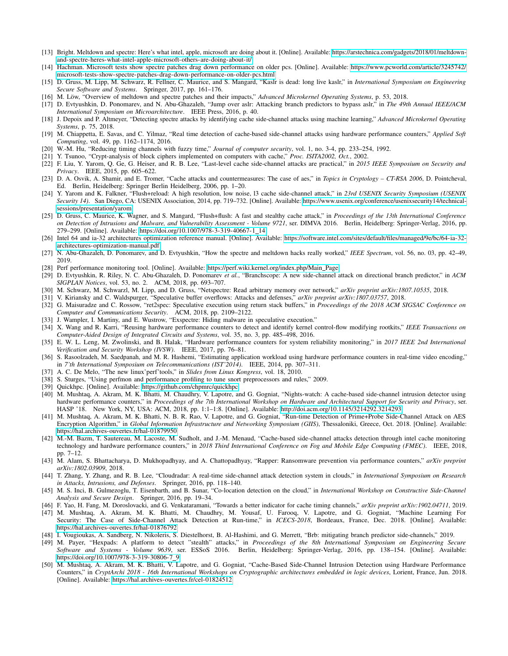- <span id="page-14-0"></span>[13] Bright. Meltdown and spectre: Here's what intel, apple, microsoft are doing about it. [Online]. Available: [https://arstechnica.com/gadgets/2018/01/meltdown](https://arstechnica.com/gadgets/2018/01/meltdown-and-spectre-heres-what-intel-apple-microsoft-others-are-doing-about-it/)[and-spectre-heres-what-intel-apple-microsoft-others-are-doing-about-it/](https://arstechnica.com/gadgets/2018/01/meltdown-and-spectre-heres-what-intel-apple-microsoft-others-are-doing-about-it/)
- <span id="page-14-1"></span>[14] Hachman. Microsoft tests show spectre patches drag down performance on older pcs. [Online]. Available: [https://www.pcworld.com/article/3245742/](https://www.pcworld.com/article/3245742/microsoft-tests-show-spectre-patches-drag-down-performance-on-older-pcs.html) [microsoft-tests-show-spectre-patches-drag-down-performance-on-older-pcs.html](https://www.pcworld.com/article/3245742/microsoft-tests-show-spectre-patches-drag-down-performance-on-older-pcs.html)
- <span id="page-14-2"></span>[15] D. Gruss, M. Lipp, M. Schwarz, R. Fellner, C. Maurice, and S. Mangard, "Kaslr is dead: long live kaslr," in *International Symposium on Engineering Secure Software and Systems*. Springer, 2017, pp. 161–176.
- <span id="page-14-3"></span>[16] M. Löw, "Overview of meltdown and spectre patches and their impacts," *Advanced Microkernel Operating Systems*, p. 53, 2018.
- <span id="page-14-4"></span>[17] D. Evtyushkin, D. Ponomarev, and N. Abu-Ghazaleh, "Jump over aslr: Attacking branch predictors to bypass aslr," in *The 49th Annual IEEE/ACM International Symposium on Microarchitecture*. IEEE Press, 2016, p. 40.
- <span id="page-14-5"></span>[18] J. Depoix and P. Altmeyer, "Detecting spectre attacks by identifying cache side-channel attacks using machine learning," *Advanced Microkernel Operating Systems*, p. 75, 2018.
- <span id="page-14-6"></span>[19] M. Chiappetta, E. Savas, and C. Yilmaz, "Real time detection of cache-based side-channel attacks using hardware performance counters," *Applied Soft Computing*, vol. 49, pp. 1162–1174, 2016.
- <span id="page-14-7"></span>[20] W.-M. Hu, "Reducing timing channels with fuzzy time," *Journal of computer security*, vol. 1, no. 3-4, pp. 233–254, 1992.
- <span id="page-14-8"></span>[21] Y. Tsunoo, "Crypt-analysis of block ciphers implemented on computers with cache," *Proc. ISITA2002, Oct.*, 2002.
- <span id="page-14-9"></span>[22] F. Liu, Y. Yarom, Q. Ge, G. Heiser, and R. B. Lee, "Last-level cache side-channel attacks are practical," in *2015 IEEE Symposium on Security and Privacy*. IEEE, 2015, pp. 605–622.
- <span id="page-14-10"></span>[23] D. A. Osvik, A. Shamir, and E. Tromer, "Cache attacks and countermeasures: The case of aes," in *Topics in Cryptology – CT-RSA 2006*, D. Pointcheval, Ed. Berlin, Heidelberg: Springer Berlin Heidelberg, 2006, pp. 1–20.
- <span id="page-14-11"></span>[24] Y. Yarom and K. Falkner, "Flush+reload: A high resolution, low noise, l3 cache side-channel attack," in *23rd USENIX Security Symposium (USENIX Security 14)*. San Diego, CA: USENIX Association, 2014, pp. 719–732. [Online]. Available: [https://www.usenix.org/conference/usenixsecurity14/technical](https://www.usenix.org/conference/usenixsecurity14/technical-sessions/presentation/yarom)[sessions/presentation/yarom](https://www.usenix.org/conference/usenixsecurity14/technical-sessions/presentation/yarom)
- <span id="page-14-12"></span>[25] D. Gruss, C. Maurice, K. Wagner, and S. Mangard, "Flush+flush: A fast and stealthy cache attack," in *Proceedings of the 13th International Conference on Detection of Intrusions and Malware, and Vulnerability Assessment - Volume 9721*, ser. DIMVA 2016. Berlin, Heidelberg: Springer-Verlag, 2016, pp. 279–299. [Online]. Available: [https://doi.org/10.1007/978-3-319-40667-1](https://doi.org/10.1007/978-3-319-40667-1_14) 14
- <span id="page-14-13"></span>[26] Intel 64 and ia-32 architectures optimization reference manual. [Online]. Available: [https://software.intel.com/sites/default/files/managed/9e/bc/64-ia-32](https://software.intel.com/sites/default/files/managed/9e/bc/64-ia-32-architectures-optimization-manual.pdf) [architectures-optimization-manual.pdf](https://software.intel.com/sites/default/files/managed/9e/bc/64-ia-32-architectures-optimization-manual.pdf)
- <span id="page-14-14"></span>[27] N. Abu-Ghazaleh, D. Ponomarev, and D. Evtyushkin, "How the spectre and meltdown hacks really worked," *IEEE Spectrum*, vol. 56, no. 03, pp. 42–49, 2019.
- <span id="page-14-15"></span>[28] Perf performance monitoring tool. [Online]. Available: [https://perf.wiki.kernel.org/index.php/Main](https://perf.wiki.kernel.org/index.php/Main_Page) Page
- <span id="page-14-16"></span>[29] D. Evtyushkin, R. Riley, N. C. Abu-Ghazaleh, D. Ponomarev *et al.*, "Branchscope: A new side-channel attack on directional branch predictor," in *ACM SIGPLAN Notices*, vol. 53, no. 2. ACM, 2018, pp. 693–707.
- <span id="page-14-17"></span>[30] M. Schwarz, M. Schwarzl, M. Lipp, and D. Gruss, "Netspectre: Read arbitrary memory over network," *arXiv preprint arXiv:1807.10535*, 2018.
- <span id="page-14-18"></span>[31] V. Kiriansky and C. Waldspurger, "Speculative buffer overflows: Attacks and defenses," *arXiv preprint arXiv:1807.03757*, 2018.
- <span id="page-14-19"></span>[32] G. Maisuradze and C. Rossow, "ret2spec: Speculative execution using return stack buffers," in *Proceedings of the 2018 ACM SIGSAC Conference on Computer and Communications Security*. ACM, 2018, pp. 2109–2122.
- <span id="page-14-20"></span>[33] J. Wampler, I. Martiny, and E. Wustrow, "Exspectre: Hiding malware in speculative execution."
- <span id="page-14-21"></span>[34] X. Wang and R. Karri, "Reusing hardware performance counters to detect and identify kernel control-flow modifying rootkits," *IEEE Transactions on Computer-Aided Design of Integrated Circuits and Systems*, vol. 35, no. 3, pp. 485–498, 2016.
- <span id="page-14-22"></span>[35] E. W. L. Leng, M. Zwolinski, and B. Halak, "Hardware performance counters for system reliability monitoring," in *2017 IEEE 2nd International Verification and Security Workshop (IVSW)*. IEEE, 2017, pp. 76–81.
- <span id="page-14-23"></span>[36] S. Rasoolzadeh, M. Saedpanah, and M. R. Hashemi, "Estimating application workload using hardware performance counters in real-time video encoding," in *7'th International Symposium on Telecommunications (IST'2014)*. IEEE, 2014, pp. 307–311.
- <span id="page-14-24"></span>[37] A. C. De Melo, "The new linux'perf'tools," in *Slides from Linux Kongress*, vol. 18, 2010.
- <span id="page-14-25"></span>[38] S. Sturges, "Using perfmon and performance profiling to tune snort preprocessors and rules," 2009.
- <span id="page-14-26"></span>[39] Quickhpc. [Online]. Available:<https://github.com/chpmrc/quickhpc>
- <span id="page-14-27"></span>[40] M. Mushtaq, A. Akram, M. K. Bhatti, M. Chaudhry, V. Lapotre, and G. Gogniat, "Nights-watch: A cache-based side-channel intrusion detector using hardware performance counters," in *Proceedings of the 7th International Workshop on Hardware and Architectural Support for Security and Privacy*, ser. HASP '18. New York, NY, USA: ACM, 2018, pp. 1:1–1:8. [Online]. Available:<http://doi.acm.org/10.1145/3214292.3214293>
- <span id="page-14-28"></span>[41] M. Mushtaq, A. Akram, M. K. Bhatti, N. B. R. Rao, V. Lapotre, and G. Gogniat, "Run-time Detection of Prime+Probe Side-Channel Attack on AES Encryption Algorithm," in *Global Information Infrastructure and Networking Symposium (GIIS)*, Thessaloniki, Greece, Oct. 2018. [Online]. Available: <https://hal.archives-ouvertes.fr/hal-01879950>
- <span id="page-14-29"></span>[42] M.-M. Bazm, T. Sautereau, M. Lacoste, M. Sudholt, and J.-M. Menaud, "Cache-based side-channel attacks detection through intel cache monitoring technology and hardware performance counters," in *2018 Third International Conference on Fog and Mobile Edge Computing (FMEC)*. IEEE, 2018, pp. 7–12.
- <span id="page-14-30"></span>[43] M. Alam, S. Bhattacharya, D. Mukhopadhyay, and A. Chattopadhyay, "Rapper: Ransomware prevention via performance counters," *arXiv preprint arXiv:1802.03909*, 2018.
- <span id="page-14-31"></span>[44] T. Zhang, Y. Zhang, and R. B. Lee, "Cloudradar: A real-time side-channel attack detection system in clouds," in *International Symposium on Research in Attacks, Intrusions, and Defenses*. Springer, 2016, pp. 118–140.
- <span id="page-14-32"></span>[45] M. S. Inci, B. Gulmezoglu, T. Eisenbarth, and B. Sunar, "Co-location detection on the cloud," in *International Workshop on Constructive Side-Channel Analysis and Secure Design*. Springer, 2016, pp. 19–34.
- <span id="page-14-33"></span>[46] F. Yao, H. Fang, M. Doroslovacki, and G. Venkataramani, "Towards a better indicator for cache timing channels," *arXiv preprint arXiv:1902.04711*, 2019.
- <span id="page-14-34"></span>[47] M. Mushtaq, A. Akram, M. K. Bhatti, M. Chaudhry, M. Yousaf, U. Farooq, V. Lapotre, and G. Gogniat, "Machine Learning For Security: The Case of Side-Channel Attack Detection at Run-time," in *ICECS-2018*, Bordeaux, France, Dec. 2018. [Online]. Available: <https://hal.archives-ouvertes.fr/hal-01876792>
- <span id="page-14-35"></span>[48] I. Vougioukas, A. Sandberg, N. Nikoleris, S. Diestelhorst, B. Al-Hashimi, and G. Merrett, "Brb: mitigating branch predictor side-channels," 2019.
- <span id="page-14-36"></span>[49] M. Payer, "Hexpads: A platform to detect "stealth" attacks," in *Proceedings of the 8th International Symposium on Engineering Secure Software and Systems - Volume 9639*, ser. ESSoS 2016. Berlin, Heidelberg: Springer-Verlag, 2016, pp. 138–154. [Online]. Available: [https://doi.org/10.1007/978-3-319-30806-7](https://doi.org/10.1007/978-3-319-30806-7_9)\_9
- <span id="page-14-37"></span>[50] M. Mushtaq, A. Akram, M. K. Bhatti, V. Lapotre, and G. Gogniat, "Cache-Based Side-Channel Intrusion Detection using Hardware Performance Counters," in *CryptArchi 2018 - 16th International Workshops on Cryptographic architectures embedded in logic devices*, Lorient, France, Jun. 2018. [Online]. Available:<https://hal.archives-ouvertes.fr/cel-01824512>